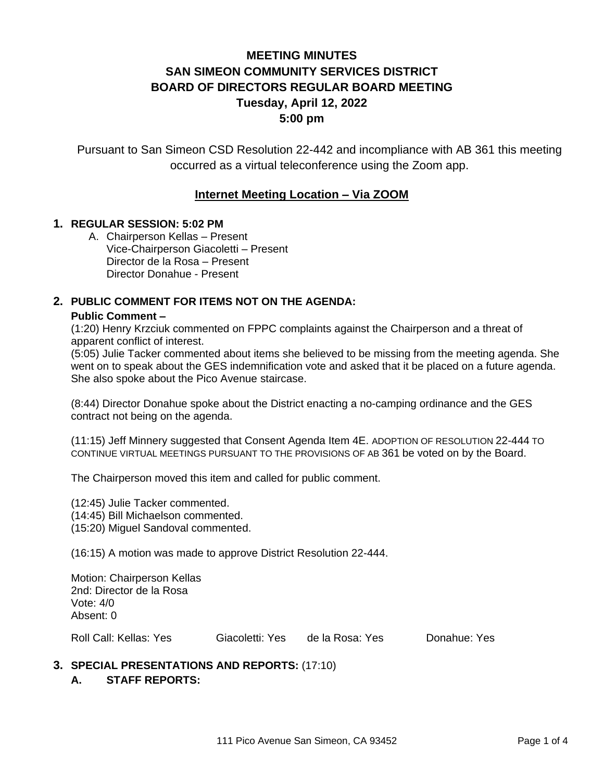# **MEETING MINUTES SAN SIMEON COMMUNITY SERVICES DISTRICT BOARD OF DIRECTORS REGULAR BOARD MEETING Tuesday, April 12, 2022 5:00 pm**

Pursuant to San Simeon CSD Resolution 22-442 and incompliance with AB 361 this meeting occurred as a virtual teleconference using the Zoom app.

# **Internet Meeting Location – Via ZOOM**

#### **1. REGULAR SESSION: 5:02 PM**

A. Chairperson Kellas – Present Vice-Chairperson Giacoletti – Present Director de la Rosa – Present Director Donahue - Present

### **2. PUBLIC COMMENT FOR ITEMS NOT ON THE AGENDA:**

#### **Public Comment –**

(1:20) Henry Krzciuk commented on FPPC complaints against the Chairperson and a threat of apparent conflict of interest.

(5:05) Julie Tacker commented about items she believed to be missing from the meeting agenda. She went on to speak about the GES indemnification vote and asked that it be placed on a future agenda. She also spoke about the Pico Avenue staircase.

(8:44) Director Donahue spoke about the District enacting a no-camping ordinance and the GES contract not being on the agenda.

(11:15) Jeff Minnery suggested that Consent Agenda Item 4E. ADOPTION OF RESOLUTION 22-444 TO CONTINUE VIRTUAL MEETINGS PURSUANT TO THE PROVISIONS OF AB 361 be voted on by the Board.

The Chairperson moved this item and called for public comment.

(12:45) Julie Tacker commented.

(14:45) Bill Michaelson commented.

(15:20) Miguel Sandoval commented.

(16:15) A motion was made to approve District Resolution 22-444.

Motion: Chairperson Kellas 2nd: Director de la Rosa Vote: 4/0 Absent: 0

Roll Call: Kellas: Yes Giacoletti: Yes de la Rosa: Yes Donahue: Yes

#### **3. SPECIAL PRESENTATIONS AND REPORTS:** (17:10) **A. STAFF REPORTS:**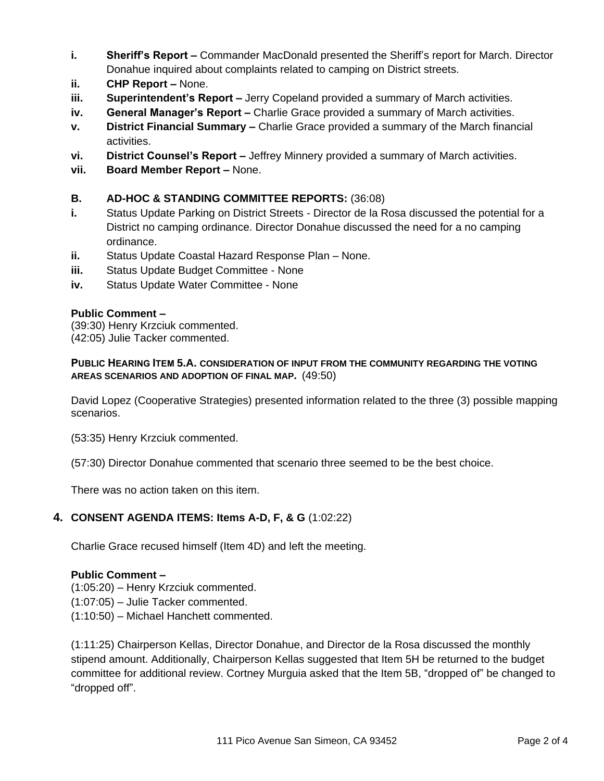- **i. Sheriff's Report –** Commander MacDonald presented the Sheriff's report for March. Director Donahue inquired about complaints related to camping on District streets.
- **ii. CHP Report –** None.
- **iii. Superintendent's Report –** Jerry Copeland provided a summary of March activities.
- **iv. General Manager's Report –** Charlie Grace provided a summary of March activities.
- **v. District Financial Summary –** Charlie Grace provided a summary of the March financial activities.
- **vi. District Counsel's Report –** Jeffrey Minnery provided a summary of March activities.
- **vii. Board Member Report –** None.

## **B. AD-HOC & STANDING COMMITTEE REPORTS:** (36:08)

- **i.** Status Update Parking on District Streets Director de la Rosa discussed the potential for a District no camping ordinance. Director Donahue discussed the need for a no camping ordinance.
- **ii.** Status Update Coastal Hazard Response Plan None.
- **iii.** Status Update Budget Committee None
- **iv.** Status Update Water Committee None

### **Public Comment –**

(39:30) Henry Krzciuk commented.

(42:05) Julie Tacker commented.

#### **PUBLIC HEARING ITEM 5.A. CONSIDERATION OF INPUT FROM THE COMMUNITY REGARDING THE VOTING AREAS SCENARIOS AND ADOPTION OF FINAL MAP.** (49:50)

David Lopez (Cooperative Strategies) presented information related to the three (3) possible mapping scenarios.

(53:35) Henry Krzciuk commented.

(57:30) Director Donahue commented that scenario three seemed to be the best choice.

There was no action taken on this item.

# **4. CONSENT AGENDA ITEMS: Items A-D, F, & G** (1:02:22)

Charlie Grace recused himself (Item 4D) and left the meeting.

#### **Public Comment –**

(1:05:20) – Henry Krzciuk commented.

(1:07:05) – Julie Tacker commented.

(1:10:50) – Michael Hanchett commented.

(1:11:25) Chairperson Kellas, Director Donahue, and Director de la Rosa discussed the monthly stipend amount. Additionally, Chairperson Kellas suggested that Item 5H be returned to the budget committee for additional review. Cortney Murguia asked that the Item 5B, "dropped of" be changed to "dropped off".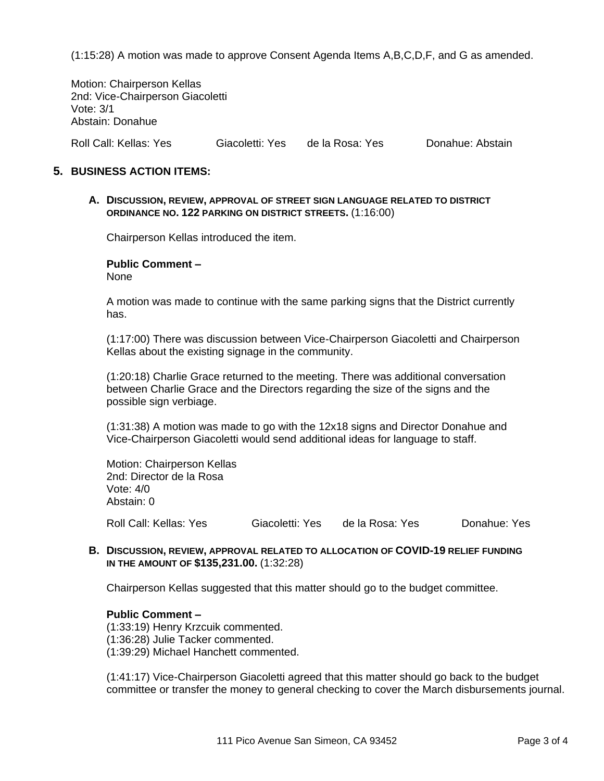(1:15:28) A motion was made to approve Consent Agenda Items A,B,C,D,F, and G as amended.

Motion: Chairperson Kellas 2nd: Vice-Chairperson Giacoletti Vote: 3/1 Abstain: Donahue

Roll Call: Kellas: Yes Giacoletti: Yes de la Rosa: Yes Donahue: Abstain

#### **5. BUSINESS ACTION ITEMS:**

**A. DISCUSSION, REVIEW, APPROVAL OF STREET SIGN LANGUAGE RELATED TO DISTRICT ORDINANCE NO. 122 PARKING ON DISTRICT STREETS.** (1:16:00)

Chairperson Kellas introduced the item.

#### **Public Comment –**

None

A motion was made to continue with the same parking signs that the District currently has.

(1:17:00) There was discussion between Vice-Chairperson Giacoletti and Chairperson Kellas about the existing signage in the community.

(1:20:18) Charlie Grace returned to the meeting. There was additional conversation between Charlie Grace and the Directors regarding the size of the signs and the possible sign verbiage.

(1:31:38) A motion was made to go with the 12x18 signs and Director Donahue and Vice-Chairperson Giacoletti would send additional ideas for language to staff.

Motion: Chairperson Kellas 2nd: Director de la Rosa Vote: 4/0 Abstain: 0

Roll Call: Kellas: Yes Giacoletti: Yes de la Rosa: Yes Donahue: Yes

#### **B. DISCUSSION, REVIEW, APPROVAL RELATED TO ALLOCATION OF COVID-19 RELIEF FUNDING IN THE AMOUNT OF \$135,231.00.** (1:32:28)

Chairperson Kellas suggested that this matter should go to the budget committee.

#### **Public Comment –**

(1:33:19) Henry Krzcuik commented. (1:36:28) Julie Tacker commented. (1:39:29) Michael Hanchett commented.

(1:41:17) Vice-Chairperson Giacoletti agreed that this matter should go back to the budget committee or transfer the money to general checking to cover the March disbursements journal.